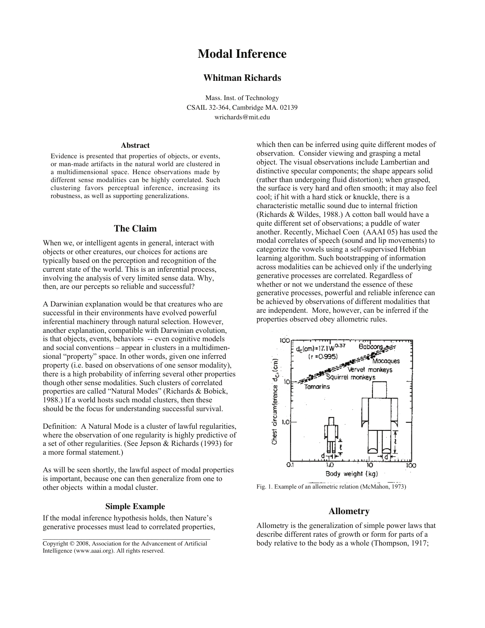# **Modal Inference**

## **Whitman Richards**

Mass. Inst. of Technology CSAIL 32-364, Cambridge MA. 02139 wrichards@mit.edu

#### **Abstract**

Evidence is presented that properties of objects, or events, or man-made artifacts in the natural world are clustered in a multidimensional space. Hence observations made by different sense modalities can be highly correlated. Such clustering favors perceptual inference, increasing its robustness, as well as supporting generalizations.

### **The Claim**

When we, or intelligent agents in general, interact with objects or other creatures, our choices for actions are typically based on the perception and recognition of the current state of the world. This is an inferential process, involving the analysis of very limited sense data. Why, then, are our percepts so reliable and successful?

A Darwinian explanation would be that creatures who are successful in their environments have evolved powerful inferential machinery through natural selection. However, another explanation, compatible with Darwinian evolution, is that objects, events, behaviors -- even cognitive models and social conventions – appear in clusters in a multidimensional "property" space. In other words, given one inferred property (i.e. based on observations of one sensor modality), there is a high probability of inferring several other properties though other sense modalities. Such clusters of correlated properties are called "Natural Modes" (Richards & Bobick, 1988.) If a world hosts such modal clusters, then these should be the focus for understanding successful survival.

Definition: A Natural Mode is a cluster of lawful regularities, where the observation of one regularity is highly predictive of a set of other regularities. (See Jepson & Richards (1993) for a more formal statement.)

As will be seen shortly, the lawful aspect of modal properties is important, because one can then generalize from one to other objects within a modal cluster.

### **Simple Example**

If the modal inference hypothesis holds, then Nature's generative processes must lead to correlated properties, which then can be inferred using quite different modes of observation. Consider viewing and grasping a metal object. The visual observations include Lambertian and distinctive specular components; the shape appears solid (rather than undergoing fluid distortion); when grasped, the surface is very hard and often smooth; it may also feel cool; if hit with a hard stick or knuckle, there is a characteristic metallic sound due to internal friction (Richards & Wildes, 1988.) A cotton ball would have a quite different set of observations; a puddle of water another. Recently, Michael Coen (AAAI 05) has used the modal correlates of speech (sound and lip movements) to categorize the vowels using a self-supervised Hebbian learning algorithm. Such bootstrapping of information across modalities can be achieved only if the underlying generative processes are correlated. Regardless of whether or not we understand the essence of these generative processes, powerful and reliable inference can be achieved by observations of different modalities that are independent. More, however, can be inferred if the properties observed obey allometric rules.



Fig. 1. Example of an allometric relation (McMahon, 1973)

## **Allometry**

Allometry is the generalization of simple power laws that describe different rates of growth or form for parts of a body relative to the body as a whole (Thompson, 1917;

 $\mathcal{L}_\text{max}$  and  $\mathcal{L}_\text{max}$  and  $\mathcal{L}_\text{max}$  and  $\mathcal{L}_\text{max}$  and  $\mathcal{L}_\text{max}$ Copyright © 2008, Association for the Advancement of Artificial Intelligence (www.aaai.org). All rights reserved.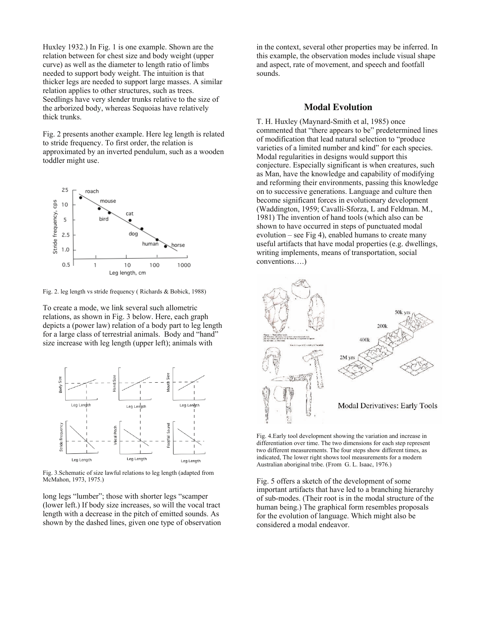Huxley 1932.) In Fig. 1 is one example. Shown are the relation between for chest size and body weight (upper curve) as well as the diameter to length ratio of limbs needed to support body weight. The intuition is that thicker legs are needed to support large masses. A similar relation applies to other structures, such as trees. Seedlings have very slender trunks relative to the size of the arborized body, whereas Sequoias have relatively thick trunks.

Fig. 2 presents another example. Here leg length is related to stride frequency. To first order, the relation is approximated by an inverted pendulum, such as a wooden toddler might use.



Fig. 2. leg length vs stride frequency ( Richards & Bobick, 1988)

To create a mode, we link several such allometric relations, as shown in Fig. 3 below. Here, each graph depicts a (power law) relation of a body part to leg length for a large class of terrestrial animals. Body and "hand" size increase with leg length (upper left); animals with



Fig. 3.Schematic of size lawful relations to leg length (adapted from McMahon, 1973, 1975.)

long legs "lumber"; those with shorter legs "scamper (lower left.) If body size increases, so will the vocal tract length with a decrease in the pitch of emitted sounds. As shown by the dashed lines, given one type of observation

in the context, several other properties may be inferred. In this example, the observation modes include visual shape and aspect, rate of movement, and speech and footfall sounds.

#### **Modal Evolution**

T. H. Huxley (Maynard-Smith et al, 1985) once commented that "there appears to be" predetermined lines of modification that lead natural selection to "produce varieties of a limited number and kind" for each species. Modal regularities in designs would support this conjecture. Especially significant is when creatures, such as Man, have the knowledge and capability of modifying and reforming their environments, passing this knowledge on to successive generations. Language and culture then become significant forces in evolutionary development (Waddington, 1959; Cavalli-Sforza, L and Feldman. M., 1981) The invention of hand tools (which also can be shown to have occurred in steps of punctuated modal evolution – see Fig 4), enabled humans to create many useful artifacts that have modal properties (e.g. dwellings, writing implements, means of transportation, social conventions….)



Fig. 4.Early tool development showing the variation and increase in differentiation over time. The two dimensions for each step represent two different measurements. The four steps show different times, as indicated, The lower right shows tool measurements for a modern Australian aboriginal tribe. (From G. L. Isaac, 1976.)

Fig. 5 offers a sketch of the development of some important artifacts that have led to a branching hierarchy of sub-modes. (Their root is in the modal structure of the human being.) The graphical form resembles proposals for the evolution of language. Which might also be considered a modal endeavor.